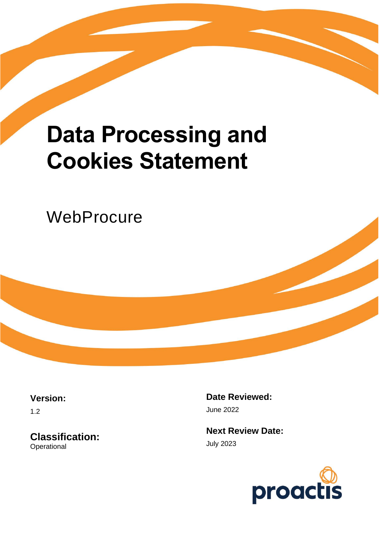# **Data Processing and Cookies Statement**

**WebProcure** 

**Version:**

1.2

**Classification: Operational** 

**Date Reviewed:** June 2022

**Next Review Date:** July 2023

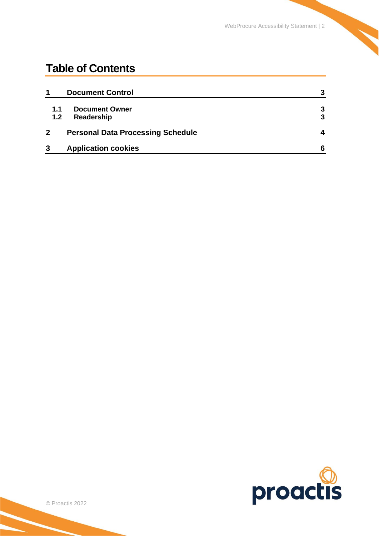## **Table of Contents**

| 1                | <b>Document Control</b>                  | 3 |
|------------------|------------------------------------------|---|
| 1.1              | <b>Document Owner</b>                    | 3 |
| 1.2 <sub>2</sub> | Readership                               | 3 |
|                  | <b>Personal Data Processing Schedule</b> | 4 |
| 3                | <b>Application cookies</b>               | 6 |

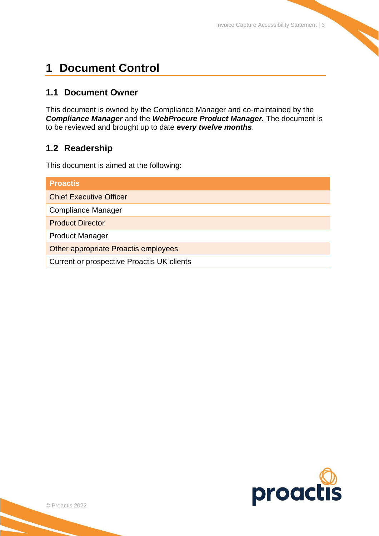## <span id="page-2-0"></span>**1 Document Control**

### <span id="page-2-1"></span>**1.1 Document Owner**

This document is owned by the Compliance Manager and co-maintained by the *Compliance Manager* and the *WebProcure Product Manager.* The document is to be reviewed and brought up to date *every twelve months*.

## <span id="page-2-2"></span>**1.2 Readership**

This document is aimed at the following:

| <b>Proactis</b>                            |  |  |
|--------------------------------------------|--|--|
| <b>Chief Executive Officer</b>             |  |  |
| <b>Compliance Manager</b>                  |  |  |
| <b>Product Director</b>                    |  |  |
| <b>Product Manager</b>                     |  |  |
| Other appropriate Proactis employees       |  |  |
| Current or prospective Proactis UK clients |  |  |

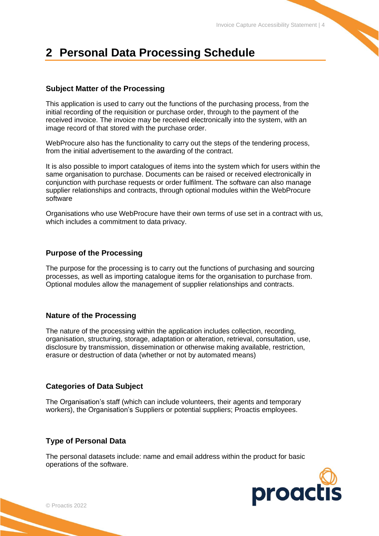## <span id="page-3-0"></span>**2 Personal Data Processing Schedule**

#### **Subject Matter of the Processing**

This application is used to carry out the functions of the purchasing process, from the initial recording of the requisition or purchase order, through to the payment of the received invoice. The invoice may be received electronically into the system, with an image record of that stored with the purchase order.

WebProcure also has the functionality to carry out the steps of the tendering process, from the initial advertisement to the awarding of the contract.

It is also possible to import catalogues of items into the system which for users within the same organisation to purchase. Documents can be raised or received electronically in conjunction with purchase requests or order fulfilment. The software can also manage supplier relationships and contracts, through optional modules within the WebProcure software

Organisations who use WebProcure have their own terms of use set in a contract with us, which includes a commitment to data privacy.

#### **Purpose of the Processing**

The purpose for the processing is to carry out the functions of purchasing and sourcing processes, as well as importing catalogue items for the organisation to purchase from. Optional modules allow the management of supplier relationships and contracts.

#### **Nature of the Processing**

The nature of the processing within the application includes collection, recording, organisation, structuring, storage, adaptation or alteration, retrieval, consultation, use, disclosure by transmission, dissemination or otherwise making available, restriction, erasure or destruction of data (whether or not by automated means)

#### **Categories of Data Subject**

The Organisation's staff (which can include volunteers, their agents and temporary workers), the Organisation's Suppliers or potential suppliers; Proactis employees.

#### **Type of Personal Data**

The personal datasets include: name and email address within the product for basic operations of the software.

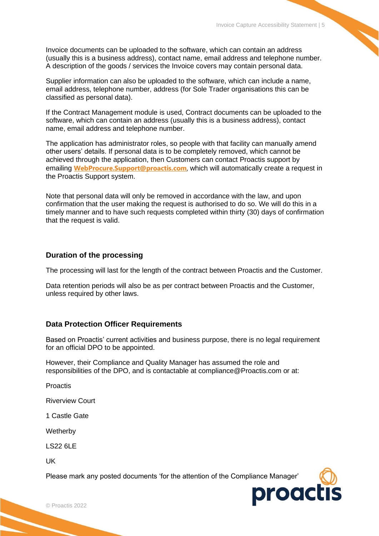Invoice documents can be uploaded to the software, which can contain an address (usually this is a business address), contact name, email address and telephone number. A description of the goods / services the Invoice covers may contain personal data.

Supplier information can also be uploaded to the software, which can include a name, email address, telephone number, address (for Sole Trader organisations this can be classified as personal data).

If the Contract Management module is used, Contract documents can be uploaded to the software, which can contain an address (usually this is a business address), contact name, email address and telephone number.

The application has administrator roles, so people with that facility can manually amend other users' details. If personal data is to be completely removed, which cannot be achieved through the application, then Customers can contact Proactis support by emailing **[WebProcure.Support@proactis.com](mailto:WebProcure.Support@proactis.com)**, which will automatically create a request in the Proactis Support system.

Note that personal data will only be removed in accordance with the law, and upon confirmation that the user making the request is authorised to do so. We will do this in a timely manner and to have such requests completed within thirty (30) days of confirmation that the request is valid.

#### **Duration of the processing**

The processing will last for the length of the contract between Proactis and the Customer.

Data retention periods will also be as per contract between Proactis and the Customer, unless required by other laws.

#### **Data Protection Officer Requirements**

Based on Proactis' current activities and business purpose, there is no legal requirement for an official DPO to be appointed.

However, their Compliance and Quality Manager has assumed the role and responsibilities of the DPO, and is contactable at compliance@Proactis.com or at:

**Proactis** 

Riverview Court

1 Castle Gate

**Wetherby** 

LS22 6LE

UK

Please mark any posted documents 'for the attention of the Compliance Manager'